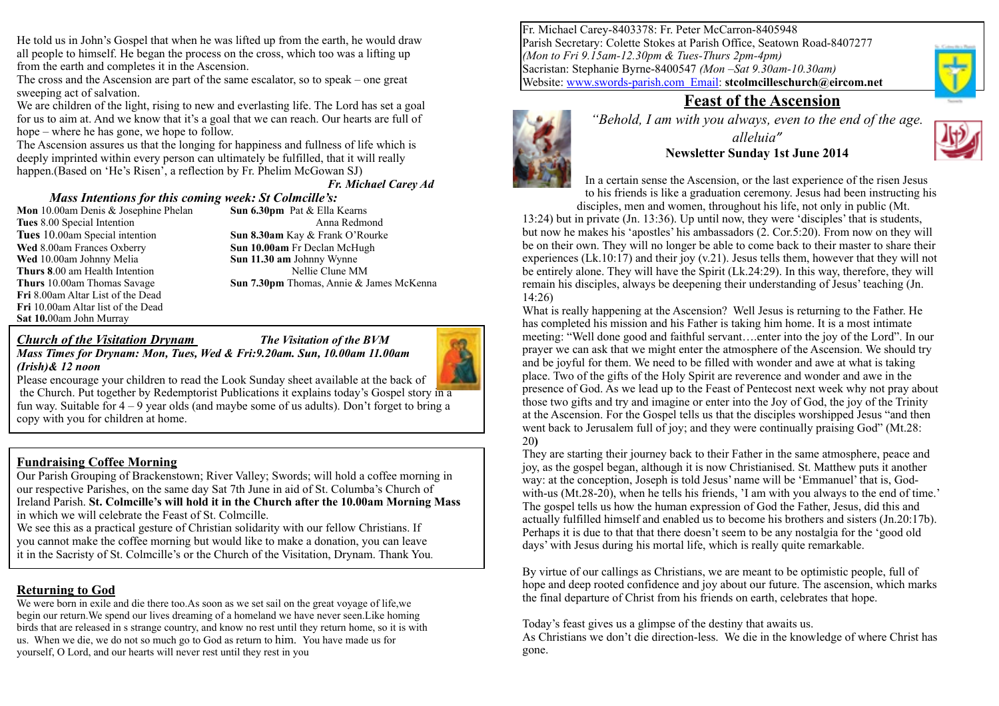He told us in John's Gospel that when he was lifted up from the earth, he would draw all people to himself. He began the process on the cross, which too was a lifting up from the earth and completes it in the Ascension.

The cross and the Ascension are part of the same escalator, so to speak – one great sweeping act of salvation.

We are children of the light, rising to new and everlasting life. The Lord has set a goal for us to aim at. And we know that it's a goal that we can reach. Our hearts are full of hope – where he has gone, we hope to follow.

The Ascension assures us that the longing for happiness and fullness of life which is deeply imprinted within every person can ultimately be fulfilled, that it will really happen.(Based on 'He's Risen', a reflection by Fr. Phelim McGowan SJ)

*Fr. Michael Carey Ad*

#### *Mass Intentions for this coming week: St Colmcille's:*

**Mon** 10.00am Denis & Josephine Phelan **Sun 6.30pm** Pat & Ella Kearns **Wed** 8.00am Frances Oxberry **Sun 10.00am** Fr Declan McHugh **Wed** 10.00am Johnny Melia **Sun 11.30 am** Johnny Wynne **Thurs 8.00 am Health Intention Nellie Clune MM Fri** 8.00am Altar List of the Dead **Fri** 10.00am Altar list of the Dead **Sat 10.**00am John Murray

**Tues** 8.00 Special Intention Anna Redmond **Tues** 10.00am Special intention **Sun 8.30am** Kay & Frank O'Rourke **Thurs** 10.00am Thomas Savage **Sun 7.30pm** Thomas, Annie & James McKenna

#### *Church of the Visitation Drynam The Visitation of the BVM*

*Mass Times for Drynam: Mon, Tues, Wed & Fri:9.20am. Sun, 10.00am 11.00am (Irish)& 12 noon* 



Please encourage your children to read the Look Sunday sheet available at the back of the Church. Put together by Redemptorist Publications it explains today's Gospel story in a fun way. Suitable for  $4 - 9$  year olds (and maybe some of us adults). Don't forget to bring a copy with you for children at home.

#### **Fundraising Coffee Morning**

Our Parish Grouping of Brackenstown; River Valley; Swords; will hold a coffee morning in our respective Parishes, on the same day Sat 7th June in aid of St. Columba's Church of Ireland Parish. **St. Colmcille's will hold it in the Church after the 10.00am Morning Mass** in which we will celebrate the Feast of St. Colmcille.

We see this as a practical gesture of Christian solidarity with our fellow Christians. If you cannot make the coffee morning but would like to make a donation, you can leave it in the Sacristy of St. Colmcille's or the Church of the Visitation, Drynam. Thank You.

### **Returning to God**

We were born in exile and die there too.As soon as we set sail on the great voyage of life,we begin our return.We spend our lives dreaming of a homeland we have never seen.Like homing birds that are released in s strange country, and know no rest until they return home, so it is with us. When we die, we do not so much go to God as return to him. You have made us for yourself, O Lord, and our hearts will never rest until they rest in you

Fr. Michael Carey-8403378: Fr. Peter McCarron-8405948 Parish Secretary: Colette Stokes at Parish Office, Seatown Road-8407277 *(Mon to Fri 9.15am-12.30pm & Tues-Thurs 2pm-4pm)* Sacristan: Stephanie Byrne-8400547 *(Mon –Sat 9.30am-10.30am)* Website: [www.swords-parish.com Email:](http://www.swords-parish.com%20%20email) **stcolmcilleschurch@eircom.net**



# **Feast of the Ascension**



*"Behold, I am with you always, even to the end of the age. alleluia"*  **Newsletter Sunday 1st June 2014**



In a certain sense the Ascension, or the last experience of the risen Jesus to his friends is like a graduation ceremony. Jesus had been instructing his disciples, men and women, throughout his life, not only in public (Mt.

13:24) but in private (Jn. 13:36). Up until now, they were 'disciples' that is students, but now he makes his 'apostles' his ambassadors (2. Cor.5:20). From now on they will be on their own. They will no longer be able to come back to their master to share their experiences (Lk.10:17) and their joy  $(v, 21)$ . Jesus tells them, however that they will not be entirely alone. They will have the Spirit (Lk.24:29). In this way, therefore, they will remain his disciples, always be deepening their understanding of Jesus' teaching (Jn. 14:26)

What is really happening at the Ascension? Well Jesus is returning to the Father. He has completed his mission and his Father is taking him home. It is a most intimate meeting: "Well done good and faithful servant….enter into the joy of the Lord". In our prayer we can ask that we might enter the atmosphere of the Ascension. We should try and be joyful for them. We need to be filled with wonder and awe at what is taking place. Two of the gifts of the Holy Spirit are reverence and wonder and awe in the presence of God. As we lead up to the Feast of Pentecost next week why not pray about those two gifts and try and imagine or enter into the Joy of God, the joy of the Trinity at the Ascension. For the Gospel tells us that the disciples worshipped Jesus "and then went back to Jerusalem full of joy; and they were continually praising God" (Mt.28: 20**)**

They are starting their journey back to their Father in the same atmosphere, peace and joy, as the gospel began, although it is now Christianised. St. Matthew puts it another way: at the conception, Joseph is told Jesus' name will be 'Emmanuel' that is, Godwith-us (Mt.28-20), when he tells his friends, 'I am with you always to the end of time.' The gospel tells us how the human expression of God the Father, Jesus, did this and actually fulfilled himself and enabled us to become his brothers and sisters (Jn.20:17b). Perhaps it is due to that that there doesn't seem to be any nostalgia for the 'good old days' with Jesus during his mortal life, which is really quite remarkable.

By virtue of our callings as Christians, we are meant to be optimistic people, full of hope and deep rooted confidence and joy about our future. The ascension, which marks the final departure of Christ from his friends on earth, celebrates that hope.

Today's feast gives us a glimpse of the destiny that awaits us.

As Christians we don't die direction-less. We die in the knowledge of where Christ has gone.